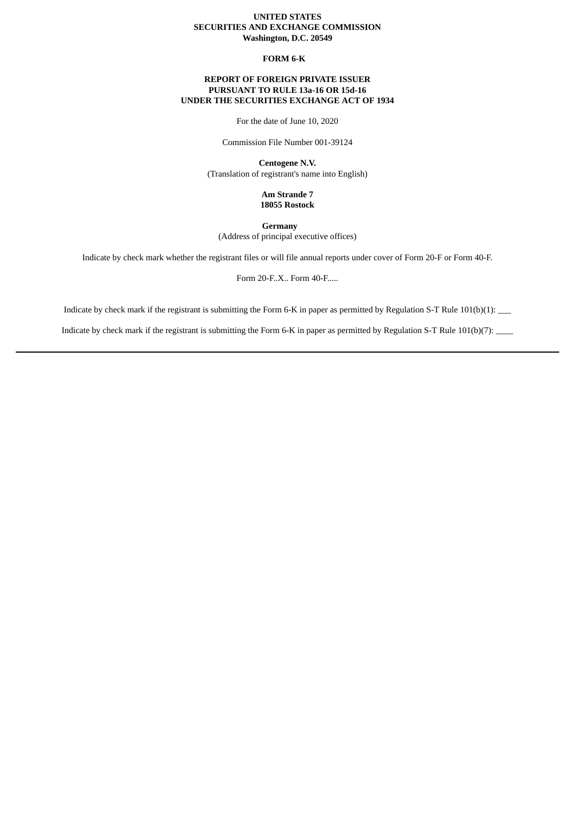### **UNITED STATES SECURITIES AND EXCHANGE COMMISSION Washington, D.C. 20549**

#### **FORM 6-K**

## **REPORT OF FOREIGN PRIVATE ISSUER PURSUANT TO RULE 13a-16 OR 15d-16 UNDER THE SECURITIES EXCHANGE ACT OF 1934**

For the date of June 10, 2020

Commission File Number 001-39124

**Centogene N.V.** (Translation of registrant's name into English)

> **Am Strande 7 18055 Rostock**

**Germany** (Address of principal executive offices)

Indicate by check mark whether the registrant files or will file annual reports under cover of Form 20-F or Form 40-F.

Form 20-F..X.. Form 40-F.....

Indicate by check mark if the registrant is submitting the Form 6-K in paper as permitted by Regulation S-T Rule 101(b)(1): \_\_\_

Indicate by check mark if the registrant is submitting the Form 6-K in paper as permitted by Regulation S-T Rule 101(b)(7): \_\_\_\_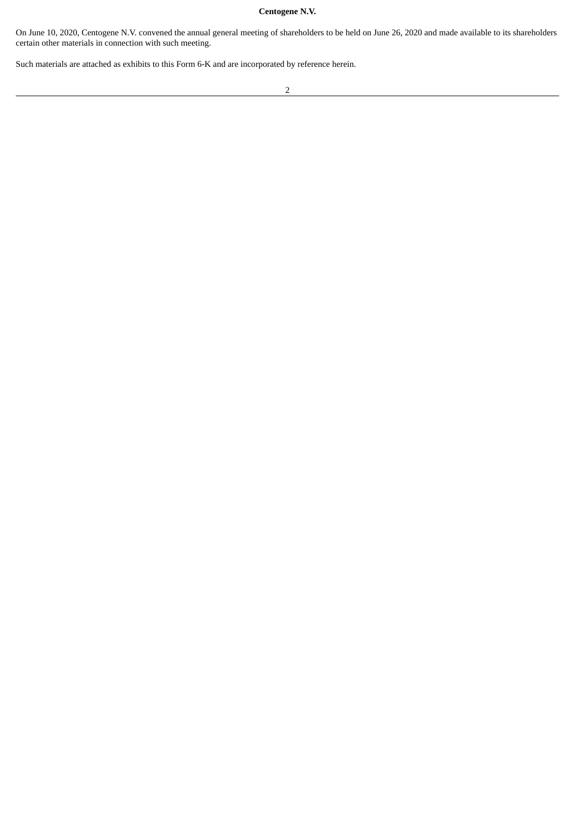# **Centogene N.V.**

On June 10, 2020, Centogene N.V. convened the annual general meeting of shareholders to be held on June 26, 2020 and made available to its shareholders certain other materials in connection with such meeting.

Such materials are attached as exhibits to this Form 6-K and are incorporated by reference herein.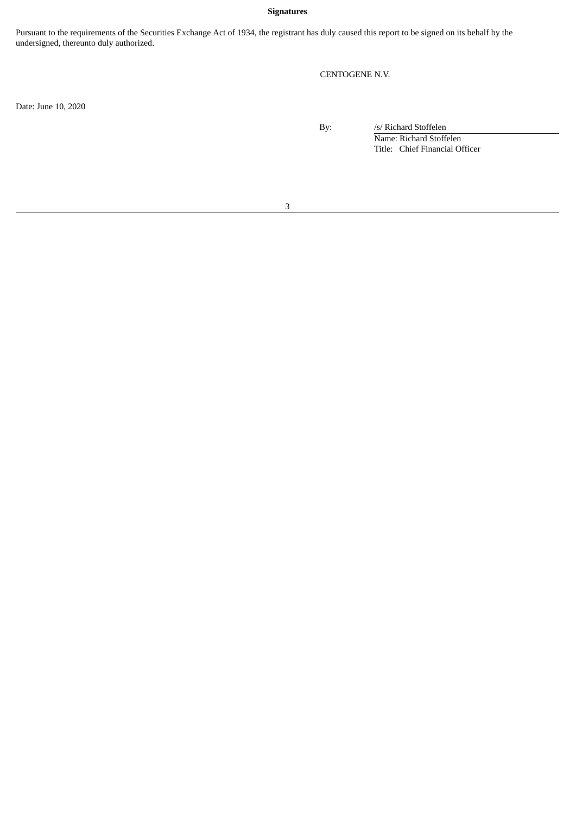## **Signatures**

Pursuant to the requirements of the Securities Exchange Act of 1934, the registrant has duly caused this report to be signed on its behalf by the undersigned, thereunto duly authorized.

CENTOGENE N.V.

Date: June 10, 2020

By: /s/ Richard Stoffelen Name: Richard Stoffelen Title: Chief Financial Officer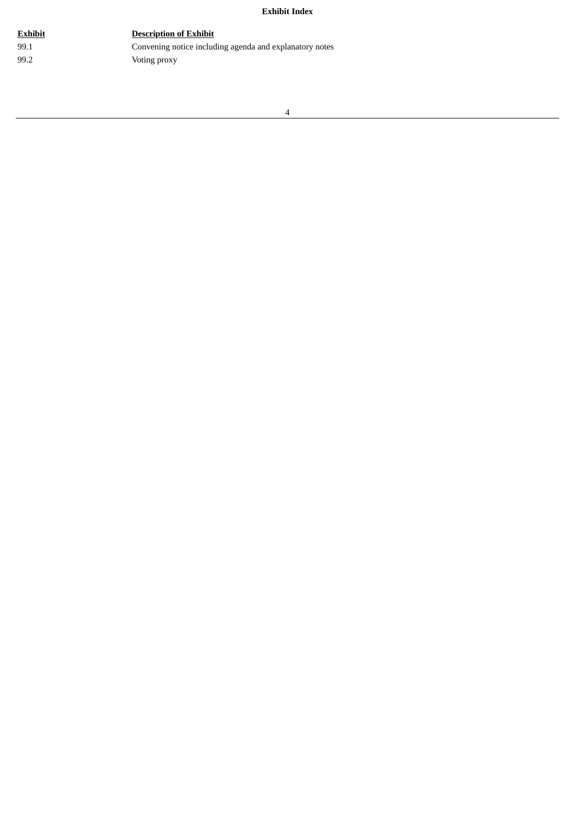## **Exhibit Index**

# **Exhibit Description of Exhibit**

99.1 Convening notice including agenda and explanatory notes 99.2 Voting proxy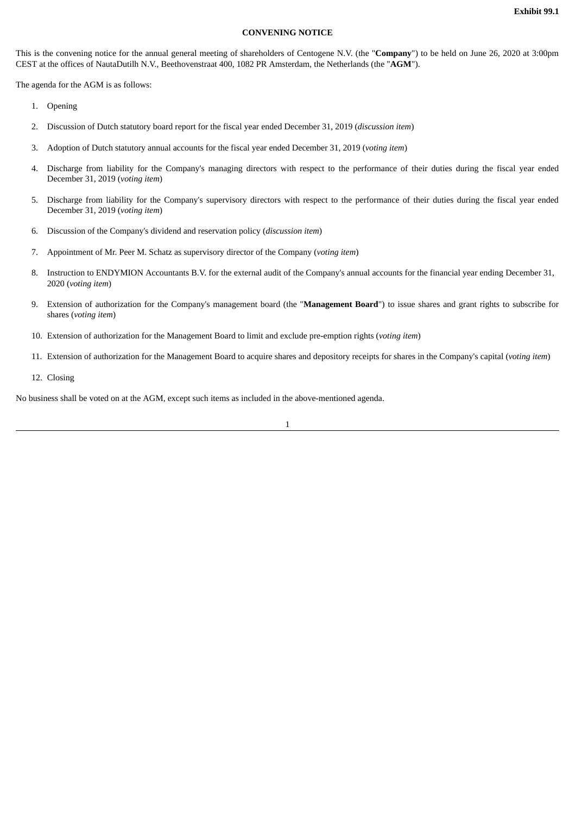#### **CONVENING NOTICE**

This is the convening notice for the annual general meeting of shareholders of Centogene N.V. (the "**Company**") to be held on June 26, 2020 at 3:00pm CEST at the offices of NautaDutilh N.V., Beethovenstraat 400, 1082 PR Amsterdam, the Netherlands (the "**AGM**").

The agenda for the AGM is as follows:

- 1. Opening
- 2. Discussion of Dutch statutory board report for the fiscal year ended December 31, 2019 (*discussion item*)
- 3. Adoption of Dutch statutory annual accounts for the fiscal year ended December 31, 2019 (*voting item*)
- 4. Discharge from liability for the Company's managing directors with respect to the performance of their duties during the fiscal year ended December 31, 2019 (*voting item*)
- 5. Discharge from liability for the Company's supervisory directors with respect to the performance of their duties during the fiscal year ended December 31, 2019 (*voting item*)
- 6. Discussion of the Company's dividend and reservation policy (*discussion item*)
- 7. Appointment of Mr. Peer M. Schatz as supervisory director of the Company (*voting item*)
- 8. Instruction to ENDYMION Accountants B.V. for the external audit of the Company's annual accounts for the financial year ending December 31, 2020 (*voting item*)
- 9. Extension of authorization for the Company's management board (the "**Management Board**") to issue shares and grant rights to subscribe for shares (*voting item*)
- 10. Extension of authorization for the Management Board to limit and exclude pre-emption rights (*voting item*)
- 11. Extension of authorization for the Management Board to acquire shares and depository receipts for shares in the Company's capital (*voting item*)
- 12. Closing

No business shall be voted on at the AGM, except such items as included in the above-mentioned agenda.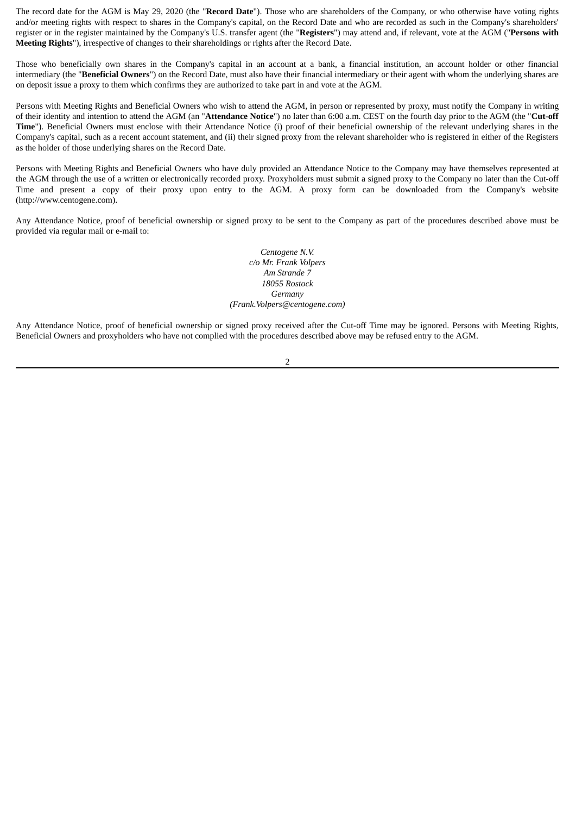The record date for the AGM is May 29, 2020 (the "**Record Date**"). Those who are shareholders of the Company, or who otherwise have voting rights and/or meeting rights with respect to shares in the Company's capital, on the Record Date and who are recorded as such in the Company's shareholders' register or in the register maintained by the Company's U.S. transfer agent (the "**Registers**") may attend and, if relevant, vote at the AGM ("**Persons with Meeting Rights**"), irrespective of changes to their shareholdings or rights after the Record Date.

Those who beneficially own shares in the Company's capital in an account at a bank, a financial institution, an account holder or other financial intermediary (the "**Beneficial Owners**") on the Record Date, must also have their financial intermediary or their agent with whom the underlying shares are on deposit issue a proxy to them which confirms they are authorized to take part in and vote at the AGM.

Persons with Meeting Rights and Beneficial Owners who wish to attend the AGM, in person or represented by proxy, must notify the Company in writing of their identity and intention to attend the AGM (an "**Attendance Notice**") no later than 6:00 a.m. CEST on the fourth day prior to the AGM (the "**Cut-off Time**"). Beneficial Owners must enclose with their Attendance Notice (i) proof of their beneficial ownership of the relevant underlying shares in the Company's capital, such as a recent account statement, and (ii) their signed proxy from the relevant shareholder who is registered in either of the Registers as the holder of those underlying shares on the Record Date.

Persons with Meeting Rights and Beneficial Owners who have duly provided an Attendance Notice to the Company may have themselves represented at the AGM through the use of a written or electronically recorded proxy. Proxyholders must submit a signed proxy to the Company no later than the Cut-off Time and present a copy of their proxy upon entry to the AGM. A proxy form can be downloaded from the Company's website (http://www.centogene.com).

Any Attendance Notice, proof of beneficial ownership or signed proxy to be sent to the Company as part of the procedures described above must be provided via regular mail or e-mail to:

> *Centogene N.V. c/o Mr. Frank Volpers Am Strande 7 18055 Rostock Germany (Frank.Volpers@centogene.com)*

Any Attendance Notice, proof of beneficial ownership or signed proxy received after the Cut-off Time may be ignored. Persons with Meeting Rights, Beneficial Owners and proxyholders who have not complied with the procedures described above may be refused entry to the AGM.

 $\overline{2}$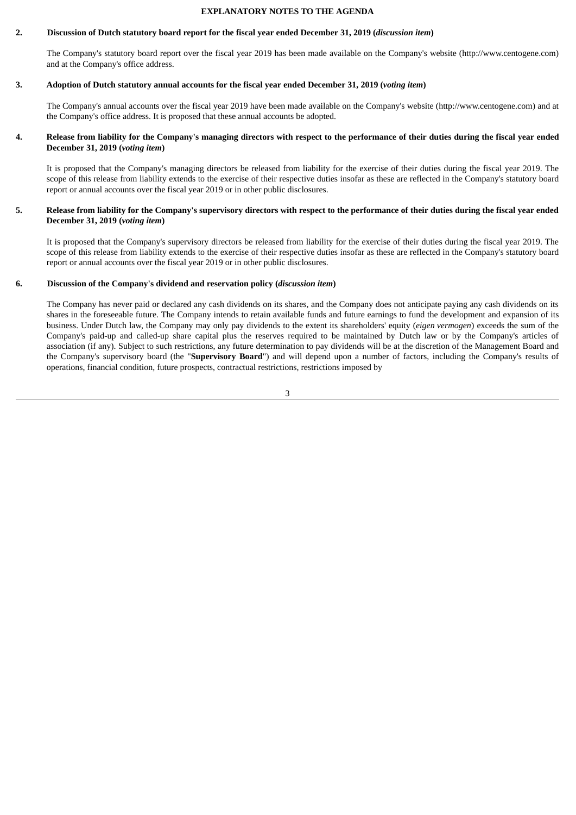#### **EXPLANATORY NOTES TO THE AGENDA**

#### 2. Discussion of Dutch statutory board report for the fiscal year ended December 31, 2019 (discussion item)

The Company's statutory board report over the fiscal year 2019 has been made available on the Company's website (http://www.centogene.com) and at the Company's office address.

#### 3. Adoption of Dutch statutory annual accounts for the fiscal year ended December 31, 2019 (voting item)

The Company's annual accounts over the fiscal year 2019 have been made available on the Company's website (http://www.centogene.com) and at the Company's office address. It is proposed that these annual accounts be adopted.

#### 4. Release from liability for the Company's managing directors with respect to the performance of their duties during the fiscal year ended **December 31, 2019 (***voting item***)**

It is proposed that the Company's managing directors be released from liability for the exercise of their duties during the fiscal year 2019. The scope of this release from liability extends to the exercise of their respective duties insofar as these are reflected in the Company's statutory board report or annual accounts over the fiscal year 2019 or in other public disclosures.

#### 5. Release from liability for the Company's supervisory directors with respect to the performance of their duties during the fiscal year ended **December 31, 2019 (***voting item***)**

It is proposed that the Company's supervisory directors be released from liability for the exercise of their duties during the fiscal year 2019. The scope of this release from liability extends to the exercise of their respective duties insofar as these are reflected in the Company's statutory board report or annual accounts over the fiscal year 2019 or in other public disclosures.

#### **6. Discussion of the Company's dividend and reservation policy (***discussion item***)**

The Company has never paid or declared any cash dividends on its shares, and the Company does not anticipate paying any cash dividends on its shares in the foreseeable future. The Company intends to retain available funds and future earnings to fund the development and expansion of its business. Under Dutch law, the Company may only pay dividends to the extent its shareholders' equity (*eigen vermogen*) exceeds the sum of the Company's paid-up and called-up share capital plus the reserves required to be maintained by Dutch law or by the Company's articles of association (if any). Subject to such restrictions, any future determination to pay dividends will be at the discretion of the Management Board and the Company's supervisory board (the "**Supervisory Board**") and will depend upon a number of factors, including the Company's results of operations, financial condition, future prospects, contractual restrictions, restrictions imposed by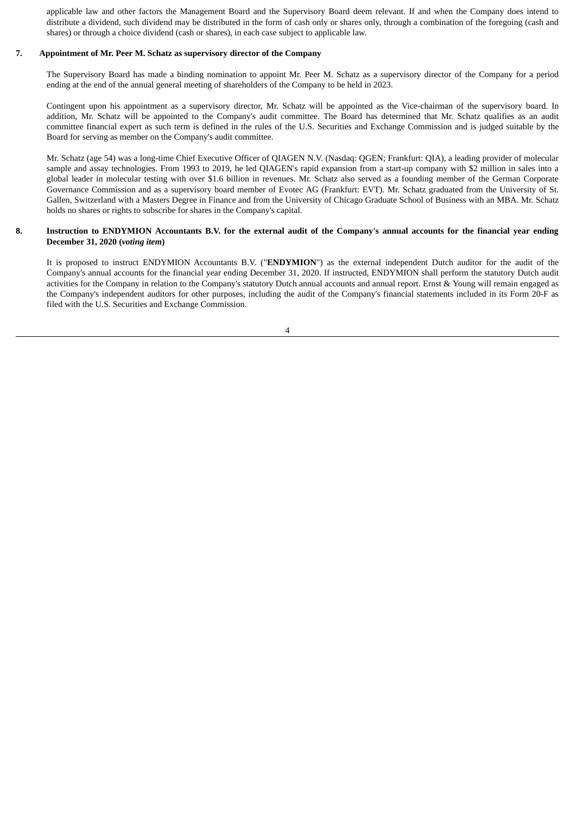applicable law and other factors the Management Board and the Supervisory Board deem relevant. If and when the Company does intend to distribute a dividend, such dividend may be distributed in the form of cash only or shares only, through a combination of the foregoing (cash and shares) or through a choice dividend (cash or shares), in each case subject to applicable law.

#### **7. Appointment of Mr. Peer M. Schatz as supervisory director of the Company**

The Supervisory Board has made a binding nomination to appoint Mr. Peer M. Schatz as a supervisory director of the Company for a period ending at the end of the annual general meeting of shareholders of the Company to be held in 2023.

Contingent upon his appointment as a supervisory director, Mr. Schatz will be appointed as the Vice-chairman of the supervisory board. In addition, Mr. Schatz will be appointed to the Company's audit committee. The Board has determined that Mr. Schatz qualifies as an audit committee financial expert as such term is defined in the rules of the U.S. Securities and Exchange Commission and is judged suitable by the Board for serving as member on the Company's audit committee.

Mr. Schatz (age 54) was a long-time Chief Executive Officer of QIAGEN N.V. (Nasdaq: QGEN; Frankfurt: QIA), a leading provider of molecular sample and assay technologies. From 1993 to 2019, he led QIAGEN's rapid expansion from a start-up company with \$2 million in sales into a global leader in molecular testing with over \$1.6 billion in revenues. Mr. Schatz also served as a founding member of the German Corporate Governance Commission and as a supervisory board member of Evotec AG (Frankfurt: EVT). Mr. Schatz graduated from the University of St. Gallen, Switzerland with a Masters Degree in Finance and from the University of Chicago Graduate School of Business with an MBA. Mr. Schatz holds no shares or rights to subscribe for shares in the Company's capital.

#### 8. Instruction to ENDYMION Accountants B.V. for the external audit of the Company's annual accounts for the financial year ending **December 31, 2020 (***voting item***)**

It is proposed to instruct ENDYMION Accountants B.V. ("**ENDYMION**") as the external independent Dutch auditor for the audit of the Company's annual accounts for the financial year ending December 31, 2020. If instructed, ENDYMION shall perform the statutory Dutch audit activities for the Company in relation to the Company's statutory Dutch annual accounts and annual report. Ernst & Young will remain engaged as the Company's independent auditors for other purposes, including the audit of the Company's financial statements included in its Form 20-F as filed with the U.S. Securities and Exchange Commission.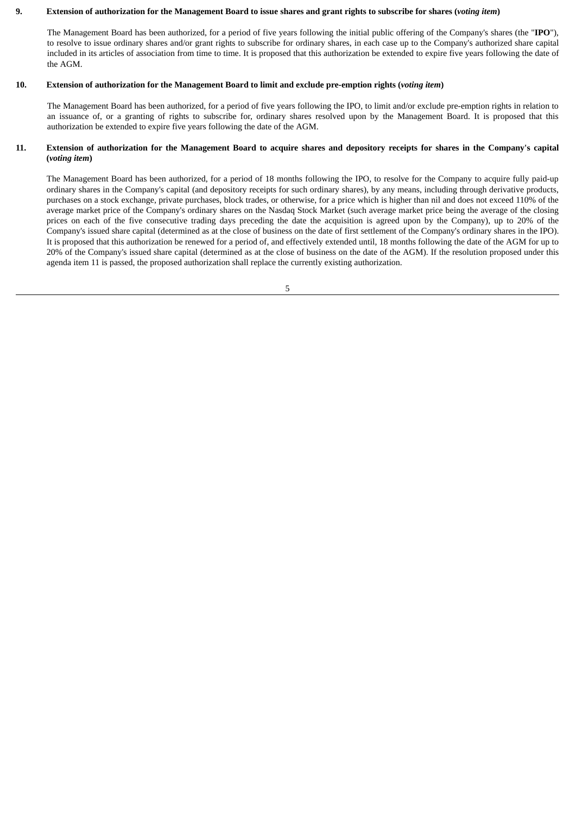## 9. Extension of authorization for the Management Board to issue shares and grant rights to subscribe for shares (voting item)

The Management Board has been authorized, for a period of five years following the initial public offering of the Company's shares (the "**IPO**"), to resolve to issue ordinary shares and/or grant rights to subscribe for ordinary shares, in each case up to the Company's authorized share capital included in its articles of association from time to time. It is proposed that this authorization be extended to expire five years following the date of the AGM.

#### 10. Extension of authorization for the Management Board to limit and exclude pre-emption rights (voting item)

The Management Board has been authorized, for a period of five years following the IPO, to limit and/or exclude pre-emption rights in relation to an issuance of, or a granting of rights to subscribe for, ordinary shares resolved upon by the Management Board. It is proposed that this authorization be extended to expire five years following the date of the AGM.

## 11. Extension of authorization for the Management Board to acquire shares and depository receipts for shares in the Company's capital **(***voting item***)**

The Management Board has been authorized, for a period of 18 months following the IPO, to resolve for the Company to acquire fully paid-up ordinary shares in the Company's capital (and depository receipts for such ordinary shares), by any means, including through derivative products, purchases on a stock exchange, private purchases, block trades, or otherwise, for a price which is higher than nil and does not exceed 110% of the average market price of the Company's ordinary shares on the Nasdaq Stock Market (such average market price being the average of the closing prices on each of the five consecutive trading days preceding the date the acquisition is agreed upon by the Company), up to 20% of the Company's issued share capital (determined as at the close of business on the date of first settlement of the Company's ordinary shares in the IPO). It is proposed that this authorization be renewed for a period of, and effectively extended until, 18 months following the date of the AGM for up to 20% of the Company's issued share capital (determined as at the close of business on the date of the AGM). If the resolution proposed under this agenda item 11 is passed, the proposed authorization shall replace the currently existing authorization.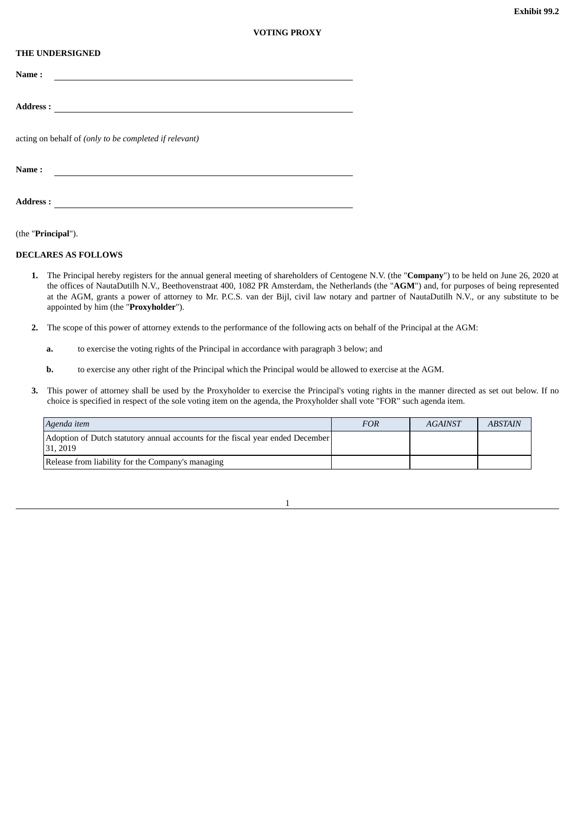#### **THE UNDERSIGNED**

| Name:                                                  |
|--------------------------------------------------------|
|                                                        |
| <b>Address:</b>                                        |
| acting on behalf of (only to be completed if relevant) |
| Name:                                                  |

**Address :**

(the "**Principal**").

#### **DECLARES AS FOLLOWS**

- **1.** The Principal hereby registers for the annual general meeting of shareholders of Centogene N.V. (the "**Company**") to be held on June 26, 2020 at the offices of NautaDutilh N.V., Beethovenstraat 400, 1082 PR Amsterdam, the Netherlands (the "**AGM**") and, for purposes of being represented at the AGM, grants a power of attorney to Mr. P.C.S. van der Bijl, civil law notary and partner of NautaDutilh N.V., or any substitute to be appointed by him (the "**Proxyholder**").
- **2.** The scope of this power of attorney extends to the performance of the following acts on behalf of the Principal at the AGM:
	- **a.** to exercise the voting rights of the Principal in accordance with paragraph 3 below; and
	- **b.** to exercise any other right of the Principal which the Principal would be allowed to exercise at the AGM.
- **3.** This power of attorney shall be used by the Proxyholder to exercise the Principal's voting rights in the manner directed as set out below. If no choice is specified in respect of the sole voting item on the agenda, the Proxyholder shall vote "FOR" such agenda item.

| Agenda item                                                                                | FOR | <b>AGAINST</b> | <b>ABSTAIN</b> |
|--------------------------------------------------------------------------------------------|-----|----------------|----------------|
| Adoption of Dutch statutory annual accounts for the fiscal year ended December<br>31, 2019 |     |                |                |
| Release from liability for the Company's managing                                          |     |                |                |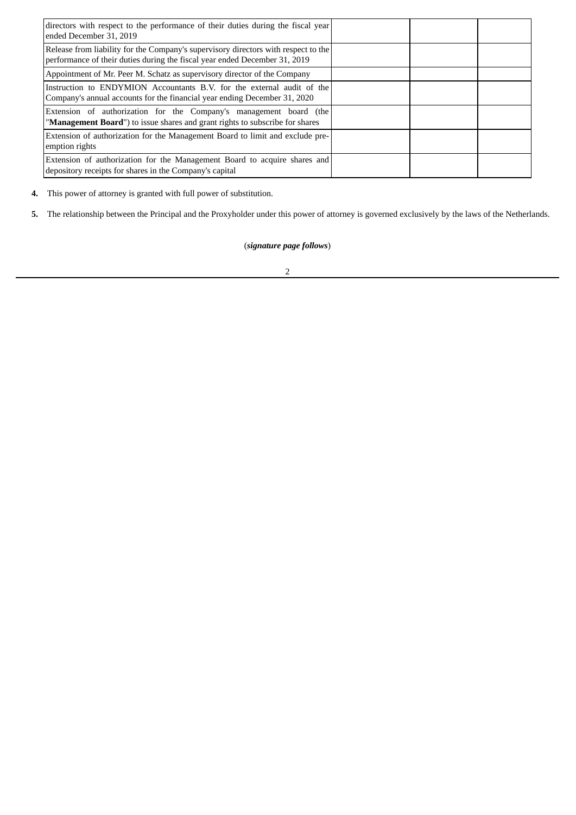| directors with respect to the performance of their duties during the fiscal year<br>ended December 31, 2019                                                      |  |  |
|------------------------------------------------------------------------------------------------------------------------------------------------------------------|--|--|
| Release from liability for the Company's supervisory directors with respect to the<br>performance of their duties during the fiscal year ended December 31, 2019 |  |  |
| Appointment of Mr. Peer M. Schatz as supervisory director of the Company                                                                                         |  |  |
| Instruction to ENDYMION Accountants B.V. for the external audit of the<br>Company's annual accounts for the financial year ending December 31, 2020              |  |  |
| Extension of authorization for the Company's management board (the<br>"Management Board") to issue shares and grant rights to subscribe for shares               |  |  |
| Extension of authorization for the Management Board to limit and exclude pre-<br>emption rights                                                                  |  |  |
| Extension of authorization for the Management Board to acquire shares and<br>depository receipts for shares in the Company's capital                             |  |  |

**4.** This power of attorney is granted with full power of substitution.

**5.** The relationship between the Principal and the Proxyholder under this power of attorney is governed exclusively by the laws of the Netherlands.

# (*signature page follows*)

2